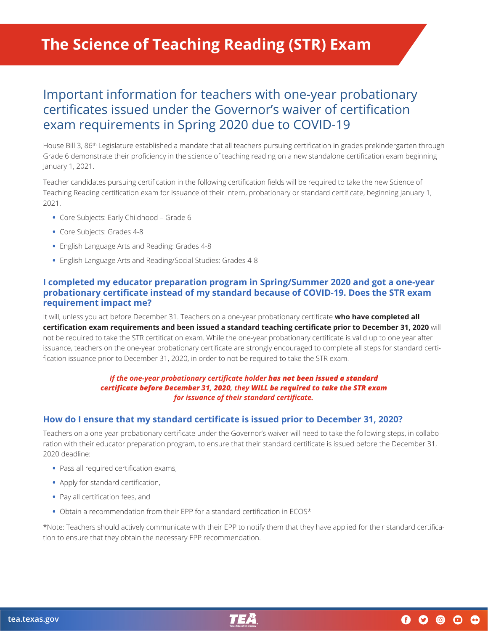# **The Science of Teaching Reading (STR) Exam**

# Important information for teachers with one-year probationary certificates issued under the Governor's waiver of certification exam requirements in Spring 2020 due to COVID-19

House Bill 3, 86<sup>th</sup> Legislature established a mandate that all teachers pursuing certification in grades prekindergarten through Grade 6 demonstrate their proficiency in the science of teaching reading on a new standalone certification exam beginning January 1, 2021.

Teacher candidates pursuing certification in the following certification fields will be required to take the new Science of Teaching Reading certification exam for issuance of their intern, probationary or standard certificate, beginning January 1, 2021.

- **•** Core Subjects: Early Childhood Grade 6
- **•** Core Subjects: Grades 4-8
- **•** English Language Arts and Reading: Grades 4-8
- **•** English Language Arts and Reading/Social Studies: Grades 4-8

#### **I completed my educator preparation program in Spring/Summer 2020 and got a one-year probationary certificate instead of my standard because of COVID-19. Does the STR exam requirement impact me?**

It will, unless you act before December 31. Teachers on a one-year probationary certificate **who have completed all certification exam requirements and been issued a standard teaching certificate prior to December 31, 2020** will not be required to take the STR certification exam. While the one-year probationary certificate is valid up to one year after issuance, teachers on the one-year probationary certificate are strongly encouraged to complete all steps for standard certification issuance prior to December 31, 2020, in order to not be required to take the STR exam.

#### *If the one-year probationary certificate holder has not been issued a standard certificate before December 31, 2020, they WILL be required to take the STR exam for issuance of their standard certificate.*

#### **How do I ensure that my standard certificate is issued prior to December 31, 2020?**

Teachers on a one-year probationary certificate under the Governor's waiver will need to take the following steps, in collaboration with their educator preparation program, to ensure that their standard certificate is issued before the December 31, 2020 deadline:

- **•** Pass all required certification exams,
- **•** Apply for standard certification,
- **•** Pay all certification fees, and
- **•** Obtain a recommendation from their EPP for a standard certification in ECOS\*

\*Note: Teachers should actively communicate with their EPP to notify them that they have applied for their standard certification to ensure that they obtain the necessary EPP recommendation.